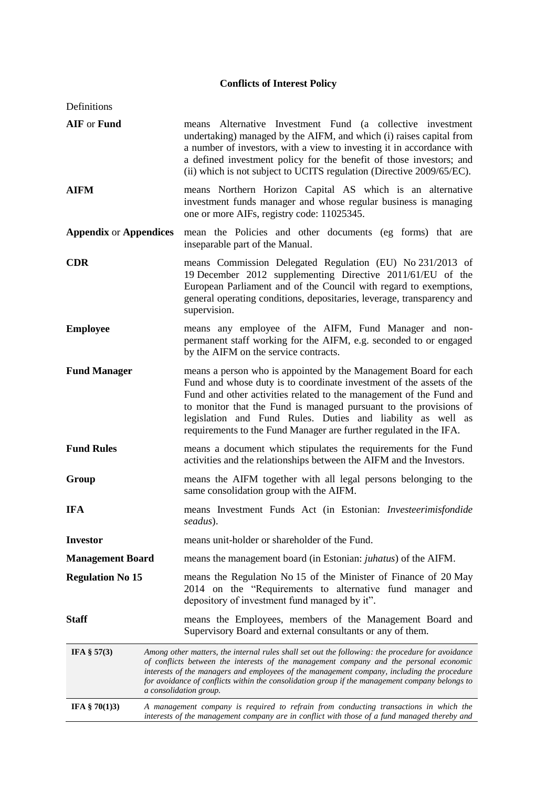## **Conflicts of Interest Policy**

Definitions

- **AIF** or **Fund** means Alternative Investment Fund (a collective investment undertaking) managed by the AIFM, and which (i) raises capital from a number of investors, with a view to investing it in accordance with a defined investment policy for the benefit of those investors; and (ii) which is not subject to UCITS regulation (Directive 2009/65/EC).
- **AIFM** means Northern Horizon Capital AS which is an alternative investment funds manager and whose regular business is managing one or more AIFs, registry code: 11025345.
- **Appendix** or **Appendices** mean the Policies and other documents (eg forms) that are inseparable part of the Manual.
- **CDR** means Commission Delegated Regulation (EU) No 231/2013 of 19 December 2012 supplementing Directive 2011/61/EU of the European Parliament and of the Council with regard to exemptions, general operating conditions, depositaries, leverage, transparency and supervision.
- **Employee** means any employee of the AIFM, Fund Manager and nonpermanent staff working for the AIFM, e.g. seconded to or engaged by the AIFM on the service contracts.
- **Fund Manager** means a person who is appointed by the Management Board for each Fund and whose duty is to coordinate investment of the assets of the Fund and other activities related to the management of the Fund and to monitor that the Fund is managed pursuant to the provisions of legislation and Fund Rules. Duties and liability as well as requirements to the Fund Manager are further regulated in the IFA.
- **Fund Rules** means a document which stipulates the requirements for the Fund activities and the relationships between the AIFM and the Investors.
- **Group** means the AIFM together with all legal persons belonging to the same consolidation group with the AIFM.
- **IFA** means Investment Funds Act (in Estonian: *Investeerimisfondide seadus*).

**Investor** means unit-holder or shareholder of the Fund.

**Management Board** means the management board (in Estonian: *juhatus*) of the AIFM.

**Regulation No 15** means the Regulation No 15 of the Minister of Finance of 20 May 2014 on the "Requirements to alternative fund manager and depository of investment fund managed by it".

**Staff** means the Employees, members of the Management Board and Supervisory Board and external consultants or any of them.

| IFA $\S$ 57(3) | Among other matters, the internal rules shall set out the following: the procedure for avoidance<br>of conflicts between the interests of the management company and the personal economic<br>interests of the managers and employees of the management company, including the procedure<br>for avoidance of conflicts within the consolidation group if the management company belongs to<br><i>a consolidation group.</i> |
|----------------|-----------------------------------------------------------------------------------------------------------------------------------------------------------------------------------------------------------------------------------------------------------------------------------------------------------------------------------------------------------------------------------------------------------------------------|
| IFA § 70(1)3)  | A management company is required to refrain from conducting transactions in which the                                                                                                                                                                                                                                                                                                                                       |

*interests of the management company are in conflict with those of a fund managed thereby and*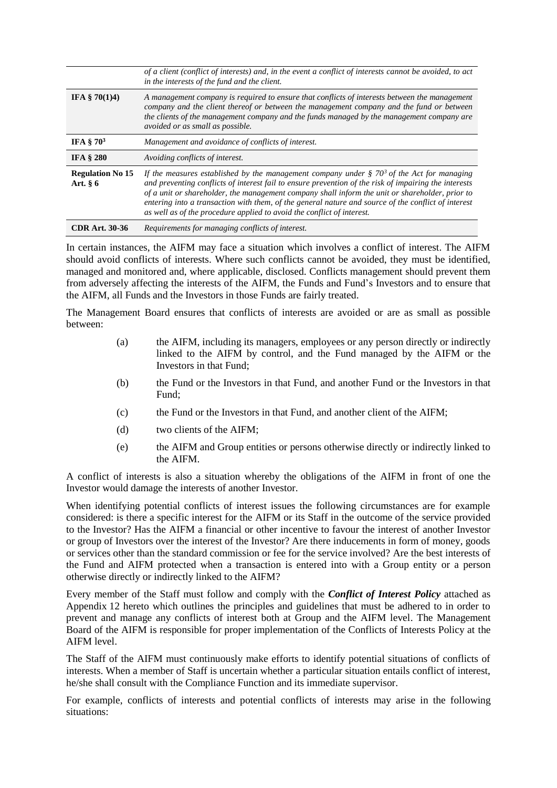|                                       | of a client (conflict of interests) and, in the event a conflict of interests cannot be avoided, to act<br>in the interests of the fund and the client.                                                                                                                                                                    |
|---------------------------------------|----------------------------------------------------------------------------------------------------------------------------------------------------------------------------------------------------------------------------------------------------------------------------------------------------------------------------|
| IFA $$70(1)4)$                        | A management company is required to ensure that conflicts of interests between the management<br>company and the client thereof or between the management company and the fund or between<br>the clients of the management company and the funds managed by the management company are<br>avoided or as small as possible. |
| IFA $\S 70^3$                         | Management and avoidance of conflicts of interest.                                                                                                                                                                                                                                                                         |
| <b>IFA § 280</b>                      | Avoiding conflicts of interest.                                                                                                                                                                                                                                                                                            |
| <b>Regulation No 15</b><br>Art. $§ 6$ | If the measures established by the management company under § 70 <sup>3</sup> of the Act for managing<br>and preventing conflicts of interest fail to ensure prevention of the risk of impairing the interests<br>of a unit or shareholder, the management company shall inform the unit or shareholder, prior to          |
|                                       | entering into a transaction with them, of the general nature and source of the conflict of interest<br>as well as of the procedure applied to avoid the conflict of interest.                                                                                                                                              |

In certain instances, the AIFM may face a situation which involves a conflict of interest. The AIFM should avoid conflicts of interests. Where such conflicts cannot be avoided, they must be identified, managed and monitored and, where applicable, disclosed. Conflicts management should prevent them from adversely affecting the interests of the AIFM, the Funds and Fund's Investors and to ensure that the AIFM, all Funds and the Investors in those Funds are fairly treated.

The Management Board ensures that conflicts of interests are avoided or are as small as possible between:

- (a) the AIFM, including its managers, employees or any person directly or indirectly linked to the AIFM by control, and the Fund managed by the AIFM or the Investors in that Fund;
- (b) the Fund or the Investors in that Fund, and another Fund or the Investors in that Fund;
- (c) the Fund or the Investors in that Fund, and another client of the AIFM;
- (d) two clients of the AIFM;
- (e) the AIFM and Group entities or persons otherwise directly or indirectly linked to the AIFM.

A conflict of interests is also a situation whereby the obligations of the AIFM in front of one the Investor would damage the interests of another Investor.

When identifying potential conflicts of interest issues the following circumstances are for example considered: is there a specific interest for the AIFM or its Staff in the outcome of the service provided to the Investor? Has the AIFM a financial or other incentive to favour the interest of another Investor or group of Investors over the interest of the Investor? Are there inducements in form of money, goods or services other than the standard commission or fee for the service involved? Are the best interests of the Fund and AIFM protected when a transaction is entered into with a Group entity or a person otherwise directly or indirectly linked to the AIFM?

Every member of the Staff must follow and comply with the *Conflict of Interest Policy* attached as Appendix 12 hereto which outlines the principles and guidelines that must be adhered to in order to prevent and manage any conflicts of interest both at Group and the AIFM level. The Management Board of the AIFM is responsible for proper implementation of the Conflicts of Interests Policy at the AIFM level.

The Staff of the AIFM must continuously make efforts to identify potential situations of conflicts of interests. When a member of Staff is uncertain whether a particular situation entails conflict of interest, he/she shall consult with the Compliance Function and its immediate supervisor.

For example, conflicts of interests and potential conflicts of interests may arise in the following situations: